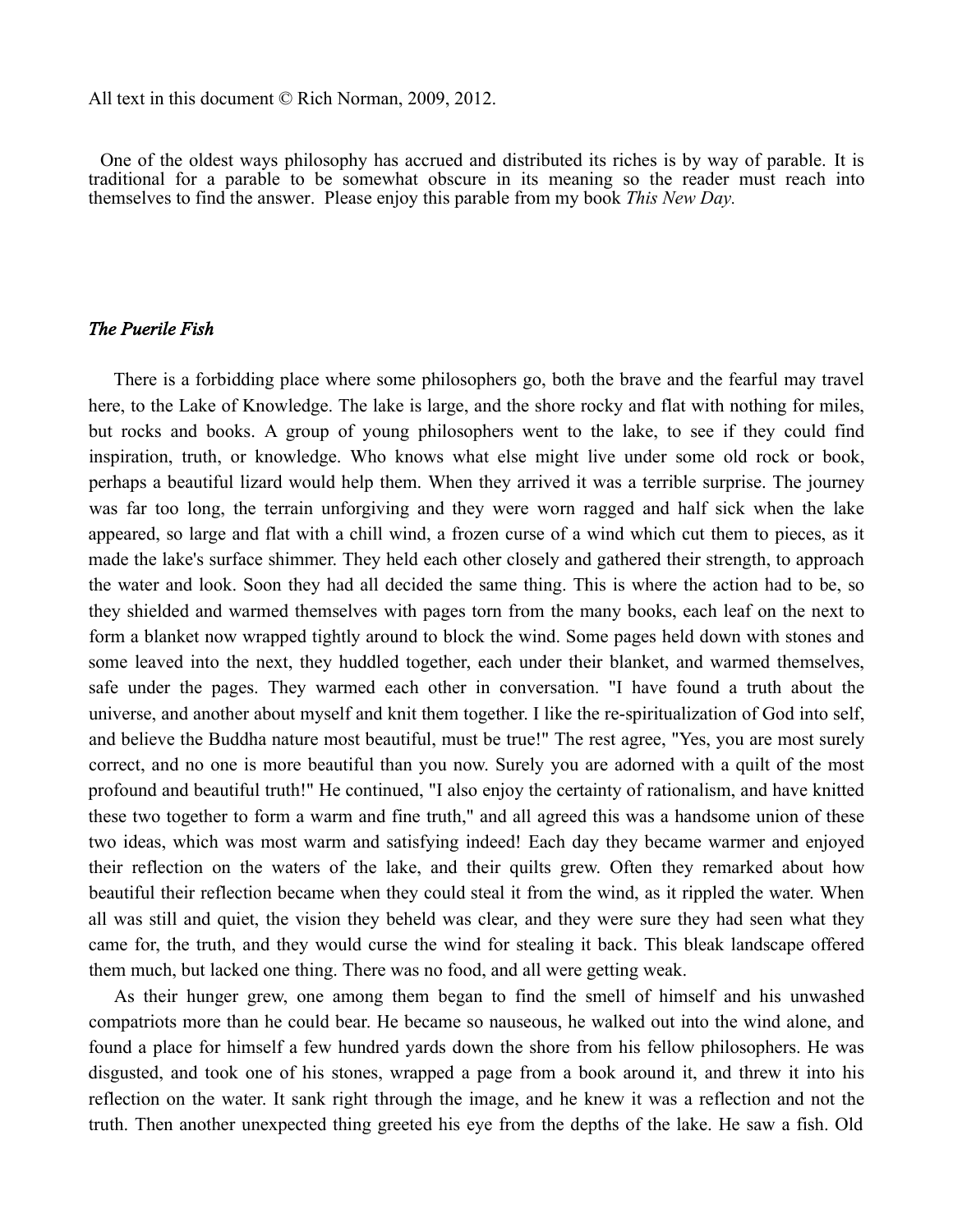All text in this document © Rich Norman, 2009, 2012.

One of the oldest ways philosophy has accrued and distributed its riches is by way of parable. It is traditional for a parable to be somewhat obscure in its meaning so the reader must reach into themselves to find the answer. Please enjoy this parable from my book *This New Day.*

## *The Puerile Fish*

There is a forbidding place where some philosophers go, both the brave and the fearful may travel here, to the Lake of Knowledge. The lake is large, and the shore rocky and flat with nothing for miles, but rocks and books. A group of young philosophers went to the lake, to see if they could find inspiration, truth, or knowledge. Who knows what else might live under some old rock or book, perhaps a beautiful lizard would help them. When they arrived it was a terrible surprise. The journey was far too long, the terrain unforgiving and they were worn ragged and half sick when the lake appeared, so large and flat with a chill wind, a frozen curse of a wind which cut them to pieces, as it made the lake's surface shimmer. They held each other closely and gathered their strength, to approach the water and look. Soon they had all decided the same thing. This is where the action had to be, so they shielded and warmed themselves with pages torn from the many books, each leaf on the next to form a blanket now wrapped tightly around to block the wind. Some pages held down with stones and some leaved into the next, they huddled together, each under their blanket, and warmed themselves, safe under the pages. They warmed each other in conversation. "I have found a truth about the universe, and another about myself and knit them together. I like the re-spiritualization of God into self, and believe the Buddha nature most beautiful, must be true!" The rest agree, "Yes, you are most surely correct, and no one is more beautiful than you now. Surely you are adorned with a quilt of the most profound and beautiful truth!" He continued, "I also enjoy the certainty of rationalism, and have knitted these two together to form a warm and fine truth," and all agreed this was a handsome union of these two ideas, which was most warm and satisfying indeed! Each day they became warmer and enjoyed their reflection on the waters of the lake, and their quilts grew. Often they remarked about how beautiful their reflection became when they could steal it from the wind, as it rippled the water. When all was still and quiet, the vision they beheld was clear, and they were sure they had seen what they came for, the truth, and they would curse the wind for stealing it back. This bleak landscape offered them much, but lacked one thing. There was no food, and all were getting weak.

As their hunger grew, one among them began to find the smell of himself and his unwashed compatriots more than he could bear. He became so nauseous, he walked out into the wind alone, and found a place for himself a few hundred yards down the shore from his fellow philosophers. He was disgusted, and took one of his stones, wrapped a page from a book around it, and threw it into his reflection on the water. It sank right through the image, and he knew it was a reflection and not the truth. Then another unexpected thing greeted his eye from the depths of the lake. He saw a fish. Old